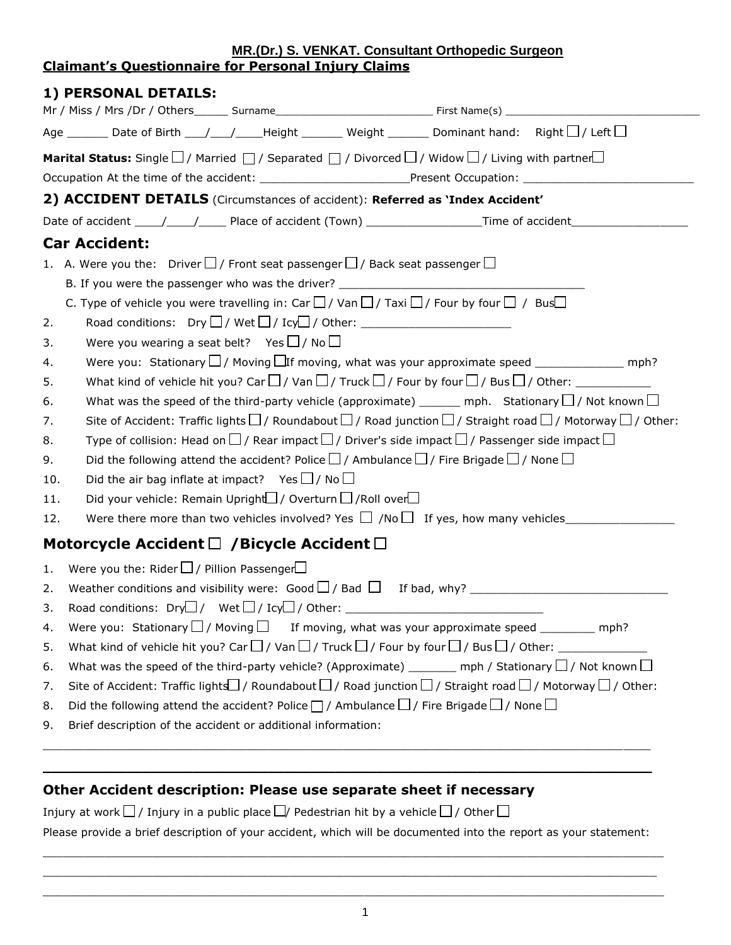## **MR.(Dr.) S. VENKAT. Consultant Orthopedic Surgeon Claimant's Questionnaire for Personal Injury Claims**

| 1) PERSONAL DETAILS:                                                                                                                                                                                                                              |  |  |  |  |  |  |  |  |  |
|---------------------------------------------------------------------------------------------------------------------------------------------------------------------------------------------------------------------------------------------------|--|--|--|--|--|--|--|--|--|
|                                                                                                                                                                                                                                                   |  |  |  |  |  |  |  |  |  |
| Age ________ Date of Birth ___/____/_____Height ________ Weight ________ Dominant hand: Right $\Box$ / Left $\Box$                                                                                                                                |  |  |  |  |  |  |  |  |  |
| Marital Status: Single $\Box$ / Married $\Box$ / Separated $\Box$ / Divorced $\Box$ / Widow $\Box$ / Living with partner $\Box$<br>Occupation At the time of the accident: _______________________________Present Occupation: ___________________ |  |  |  |  |  |  |  |  |  |
| 2) ACCIDENT DETAILS (Circumstances of accident): Referred as 'Index Accident'                                                                                                                                                                     |  |  |  |  |  |  |  |  |  |
| Date of accident _____/_____/_______Place of accident (Town) ___________________Time of accident______________                                                                                                                                    |  |  |  |  |  |  |  |  |  |
| <b>Car Accident:</b>                                                                                                                                                                                                                              |  |  |  |  |  |  |  |  |  |
| 1. A. Were you the: Driver $\square$ / Front seat passenger $\square$ / Back seat passenger $\square$                                                                                                                                             |  |  |  |  |  |  |  |  |  |
|                                                                                                                                                                                                                                                   |  |  |  |  |  |  |  |  |  |
| C. Type of vehicle you were travelling in: Car $\Box$ / Van $\Box$ / Taxi $\Box$ / Four by four $\Box$ / Bus $\Box$                                                                                                                               |  |  |  |  |  |  |  |  |  |
| Road conditions: $\mathsf{Dry} \square / \mathsf{Wet} \square / \mathsf{Icy} \square / \mathsf{Other:}$ ________________________<br>2.                                                                                                            |  |  |  |  |  |  |  |  |  |
| Were you wearing a seat belt? Yes $\Box$ / No $\Box$<br>3.                                                                                                                                                                                        |  |  |  |  |  |  |  |  |  |
| Were you: Stationary $\Box$ / Moving $\Box$ If moving, what was your approximate speed _______________ mph?<br>4.                                                                                                                                 |  |  |  |  |  |  |  |  |  |
| 5.                                                                                                                                                                                                                                                |  |  |  |  |  |  |  |  |  |
| What was the speed of the third-party vehicle (approximate) _______ mph. Stationary $\Box$ / Not known $\Box$<br>6.                                                                                                                               |  |  |  |  |  |  |  |  |  |
| Site of Accident: Traffic lights $\square$ / Roundabout $\square$ / Road junction $\square$ / Straight road $\square$ / Motorway $\square$ / Other:<br>7.                                                                                         |  |  |  |  |  |  |  |  |  |
| Type of collision: Head on $\square$ / Rear impact $\square$ / Driver's side impact $\square$ / Passenger side impact $\square$<br>8.                                                                                                             |  |  |  |  |  |  |  |  |  |
| Did the following attend the accident? Police $\square$ / Ambulance $\square$ / Fire Brigade $\square$ / None $\square$<br>9.                                                                                                                     |  |  |  |  |  |  |  |  |  |
| Did the air bag inflate at impact? Yes $\Box$ / No $\Box$<br>10.                                                                                                                                                                                  |  |  |  |  |  |  |  |  |  |
| Did your vehicle: Remain Upright $\Box$ / Overturn $\Box$ / Roll over $\Box$<br>11.                                                                                                                                                               |  |  |  |  |  |  |  |  |  |
| Were there more than two vehicles involved? Yes $\Box$ /No $\Box$ If yes, how many vehicles<br>12.                                                                                                                                                |  |  |  |  |  |  |  |  |  |
| Motorcycle Accident $\Box$ /Bicycle Accident $\Box$                                                                                                                                                                                               |  |  |  |  |  |  |  |  |  |
| Were you the: Rider $\Box$ / Pillion Passenger $\Box$<br>1.                                                                                                                                                                                       |  |  |  |  |  |  |  |  |  |
| 2.                                                                                                                                                                                                                                                |  |  |  |  |  |  |  |  |  |
| 3.                                                                                                                                                                                                                                                |  |  |  |  |  |  |  |  |  |
| Were you: Stationary $\Box$ / Moving $\Box$ If moving, what was your approximate speed __________ mph?<br>4.                                                                                                                                      |  |  |  |  |  |  |  |  |  |
| What kind of vehicle hit you? Car $\Box$ / Van $\Box$ / Truck $\Box$ / Four by four $\Box$ / Bus $\Box$ / Other: _________<br>5.                                                                                                                  |  |  |  |  |  |  |  |  |  |
| What was the speed of the third-party vehicle? (Approximate) _______ mph / Stationary $\Box$ / Not known $\Box$<br>6.                                                                                                                             |  |  |  |  |  |  |  |  |  |
| Site of Accident: Traffic lights $\Box$ / Roundabout $\Box$ / Road junction $\Box$ / Straight road $\Box$ / Motorway $\Box$ / Other:<br>7.                                                                                                        |  |  |  |  |  |  |  |  |  |
| Did the following attend the accident? Police $\Box$ / Ambulance $\Box$ / Fire Brigade $\Box$ / None $\Box$                                                                                                                                       |  |  |  |  |  |  |  |  |  |
| Brief description of the accident or additional information:                                                                                                                                                                                      |  |  |  |  |  |  |  |  |  |
| Other Accident description: Please use separate sheet if necessary                                                                                                                                                                                |  |  |  |  |  |  |  |  |  |

Injury at work  $\Box$  / Injury in a public place  $\Box$  / Pedestrian hit by a vehicle  $\Box$  / Other  $\Box$ 

Please provide a brief description of your accident, which will be documented into the report as your statement:

 $\_$  ,  $\_$  ,  $\_$  ,  $\_$  ,  $\_$  ,  $\_$  ,  $\_$  ,  $\_$  ,  $\_$  ,  $\_$  ,  $\_$  ,  $\_$  ,  $\_$  ,  $\_$  ,  $\_$  ,  $\_$  ,  $\_$  ,  $\_$  ,  $\_$  ,  $\_$  ,  $\_$  ,  $\_$  ,  $\_$  ,  $\_$  ,  $\_$  ,  $\_$  ,  $\_$  ,  $\_$  ,  $\_$  ,  $\_$  ,  $\_$  ,  $\_$  ,  $\_$  ,  $\_$  ,  $\_$  ,  $\_$  ,  $\_$  ,  $\_$  ,  $\_$  ,  $\_$  ,  $\_$  ,  $\_$  ,  $\_$  ,  $\_$  ,  $\_$  ,  $\_$  ,  $\_$  ,  $\_$  ,  $\_$  ,  $\_$  ,  $\_$  ,  $\_$  ,  $\_$  ,  $\_$  ,  $\_$  ,  $\_$  ,  $\_$  ,  $\_$  ,  $\_$  ,  $\_$  ,  $\_$  ,  $\_$  ,  $\_$  ,  $\_$  ,  $\_$  ,  $\_$  ,  $\_$  ,  $\_$  ,  $\_$  ,  $\_$  ,  $\_$  ,  $\_$  ,  $\_$  ,  $\_$  ,  $\Box$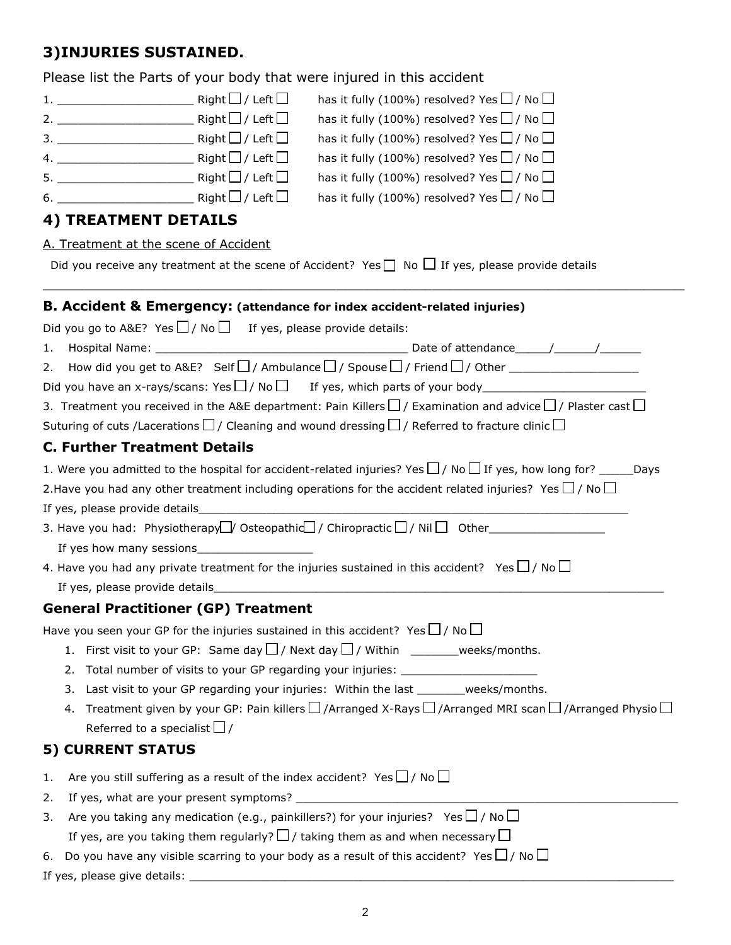# **3)INJURIES SUSTAINED.**

|                                                                                                                | Please list the Parts of your body that were injured in this accident                                                                       |  |  |  |  |  |  |  |  |
|----------------------------------------------------------------------------------------------------------------|---------------------------------------------------------------------------------------------------------------------------------------------|--|--|--|--|--|--|--|--|
|                                                                                                                | has it fully (100%) resolved? Yes $\Box$ / No $\Box$                                                                                        |  |  |  |  |  |  |  |  |
|                                                                                                                | has it fully (100%) resolved? Yes $\Box$ / No $\Box$                                                                                        |  |  |  |  |  |  |  |  |
|                                                                                                                | has it fully (100%) resolved? Yes $\Box$ / No $\Box$                                                                                        |  |  |  |  |  |  |  |  |
|                                                                                                                | has it fully (100%) resolved? Yes $\Box$ / No $\Box$                                                                                        |  |  |  |  |  |  |  |  |
|                                                                                                                | has it fully (100%) resolved? Yes $\Box$ / No $\Box$                                                                                        |  |  |  |  |  |  |  |  |
|                                                                                                                | has it fully (100%) resolved? Yes $\Box$ / No $\Box$                                                                                        |  |  |  |  |  |  |  |  |
|                                                                                                                | <b>4) TREATMENT DETAILS</b>                                                                                                                 |  |  |  |  |  |  |  |  |
|                                                                                                                | A. Treatment at the scene of Accident                                                                                                       |  |  |  |  |  |  |  |  |
|                                                                                                                | Did you receive any treatment at the scene of Accident? Yes $\Box$ No $\Box$ If yes, please provide details                                 |  |  |  |  |  |  |  |  |
|                                                                                                                | <b>B. Accident &amp; Emergency: (attendance for index accident-related injuries)</b>                                                        |  |  |  |  |  |  |  |  |
|                                                                                                                | Did you go to A&E? Yes $\Box$ / No $\Box$ If yes, please provide details:                                                                   |  |  |  |  |  |  |  |  |
| 1.                                                                                                             |                                                                                                                                             |  |  |  |  |  |  |  |  |
|                                                                                                                |                                                                                                                                             |  |  |  |  |  |  |  |  |
|                                                                                                                |                                                                                                                                             |  |  |  |  |  |  |  |  |
|                                                                                                                | 3. Treatment you received in the A&E department: Pain Killers $\square$ / Examination and advice $\square$ / Plaster cast $\square$         |  |  |  |  |  |  |  |  |
| Suturing of cuts /Lacerations $\Box$ / Cleaning and wound dressing $\Box$ / Referred to fracture clinic $\Box$ |                                                                                                                                             |  |  |  |  |  |  |  |  |
|                                                                                                                | <b>C. Further Treatment Details</b>                                                                                                         |  |  |  |  |  |  |  |  |
|                                                                                                                | 1. Were you admitted to the hospital for accident-related injuries? Yes $\Box$ / No $\Box$ If yes, how long for? ______Days                 |  |  |  |  |  |  |  |  |
|                                                                                                                | 2. Have you had any other treatment including operations for the accident related injuries? Yes $\Box$ / No $\Box$                          |  |  |  |  |  |  |  |  |
|                                                                                                                | If yes, please provide details                                                                                                              |  |  |  |  |  |  |  |  |
|                                                                                                                | 3. Have you had: Physiotherapy□ Osteopathid□ / Chiropractic□ / Nil□ Other__________________________                                         |  |  |  |  |  |  |  |  |
|                                                                                                                |                                                                                                                                             |  |  |  |  |  |  |  |  |
|                                                                                                                | 4. Have you had any private treatment for the injuries sustained in this accident? Yes $\Box$ / No $\Box$                                   |  |  |  |  |  |  |  |  |
|                                                                                                                |                                                                                                                                             |  |  |  |  |  |  |  |  |
|                                                                                                                | <b>General Practitioner (GP) Treatment</b>                                                                                                  |  |  |  |  |  |  |  |  |
|                                                                                                                | Have you seen your GP for the injuries sustained in this accident? Yes $\Box$ / No $\Box$                                                   |  |  |  |  |  |  |  |  |
|                                                                                                                | 1. First visit to your GP: Same day $\Box$ / Next day $\Box$ / Within _________weeks/months.                                                |  |  |  |  |  |  |  |  |
|                                                                                                                | Total number of visits to your GP regarding your injuries: _____________________<br>2.                                                      |  |  |  |  |  |  |  |  |
|                                                                                                                | Last visit to your GP regarding your injuries: Within the last ________weeks/months.<br>3.                                                  |  |  |  |  |  |  |  |  |
|                                                                                                                | Treatment given by your GP: Pain killers $\square$ /Arranged X-Rays $\square$ /Arranged MRI scan $\square$ /Arranged Physio $\square$<br>4. |  |  |  |  |  |  |  |  |
|                                                                                                                | Referred to a specialist $\Box$ /                                                                                                           |  |  |  |  |  |  |  |  |
|                                                                                                                | <b>5) CURRENT STATUS</b>                                                                                                                    |  |  |  |  |  |  |  |  |
| 1.                                                                                                             | Are you still suffering as a result of the index accident? Yes $\Box$ / No $\Box$                                                           |  |  |  |  |  |  |  |  |
| 2.                                                                                                             |                                                                                                                                             |  |  |  |  |  |  |  |  |
| 3.                                                                                                             | Are you taking any medication (e.g., painkillers?) for your injuries? Yes $\Box$ / No $\Box$                                                |  |  |  |  |  |  |  |  |
|                                                                                                                | If yes, are you taking them regularly? $\Box$ / taking them as and when necessary $\Box$                                                    |  |  |  |  |  |  |  |  |
| 6.                                                                                                             | Do you have any visible scarring to your body as a result of this accident? Yes $\Box$ / No $\Box$                                          |  |  |  |  |  |  |  |  |

If yes, please give details: \_\_\_\_\_\_\_\_\_\_\_\_\_\_\_\_\_\_\_\_\_\_\_\_\_\_\_\_\_\_\_\_\_\_\_\_\_\_\_\_\_\_\_\_\_\_\_\_\_\_\_\_\_\_\_\_\_\_\_\_\_\_\_\_\_\_\_\_\_\_\_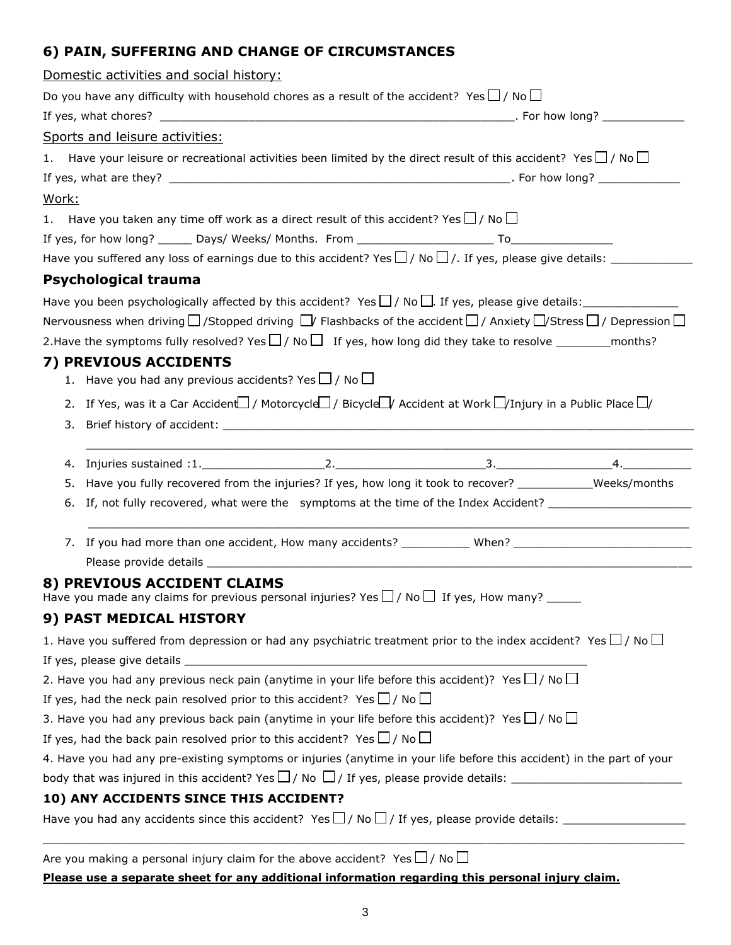# **6) PAIN, SUFFERING AND CHANGE OF CIRCUMSTANCES**

|                                                                                                                | Domestic activities and social history:                                                                                                       |  |  |  |  |  |  |  |  |
|----------------------------------------------------------------------------------------------------------------|-----------------------------------------------------------------------------------------------------------------------------------------------|--|--|--|--|--|--|--|--|
|                                                                                                                | Do you have any difficulty with household chores as a result of the accident? Yes $\Box$ / No $\Box$                                          |  |  |  |  |  |  |  |  |
|                                                                                                                |                                                                                                                                               |  |  |  |  |  |  |  |  |
|                                                                                                                | Sports and leisure activities:                                                                                                                |  |  |  |  |  |  |  |  |
|                                                                                                                | 1. Have your leisure or recreational activities been limited by the direct result of this accident? Yes $\Box$ / No $\Box$                    |  |  |  |  |  |  |  |  |
|                                                                                                                |                                                                                                                                               |  |  |  |  |  |  |  |  |
| Work:                                                                                                          |                                                                                                                                               |  |  |  |  |  |  |  |  |
|                                                                                                                | 1. Have you taken any time off work as a direct result of this accident? Yes $\Box$ / No $\Box$                                               |  |  |  |  |  |  |  |  |
|                                                                                                                |                                                                                                                                               |  |  |  |  |  |  |  |  |
|                                                                                                                |                                                                                                                                               |  |  |  |  |  |  |  |  |
|                                                                                                                | <b>Psychological trauma</b>                                                                                                                   |  |  |  |  |  |  |  |  |
| Have you been psychologically affected by this accident? Yes $\Box$ / No $\Box$ . If yes, please give details: |                                                                                                                                               |  |  |  |  |  |  |  |  |
|                                                                                                                | Nervousness when driving $\Box$ /Stopped driving $\Box$ Flashbacks of the accident $\Box$ / Anxiety $\Box$ /Stress $\Box$ / Depression $\Box$ |  |  |  |  |  |  |  |  |
|                                                                                                                | 2. Have the symptoms fully resolved? Yes $\Box$ / No $\Box$ If yes, how long did they take to resolve ____________ months?                    |  |  |  |  |  |  |  |  |
|                                                                                                                | 7) PREVIOUS ACCIDENTS                                                                                                                         |  |  |  |  |  |  |  |  |
|                                                                                                                | 1. Have you had any previous accidents? Yes $\Box$ / No $\Box$                                                                                |  |  |  |  |  |  |  |  |
|                                                                                                                | 2. If Yes, was it a Car Accident / Motorcycle / Bicycle / Accident at Work $\Box$ /Injury in a Public Place $\Box$                            |  |  |  |  |  |  |  |  |
|                                                                                                                |                                                                                                                                               |  |  |  |  |  |  |  |  |
|                                                                                                                |                                                                                                                                               |  |  |  |  |  |  |  |  |
|                                                                                                                | 5. Have you fully recovered from the injuries? If yes, how long it took to recover? ___________Weeks/months                                   |  |  |  |  |  |  |  |  |
|                                                                                                                | 6. If, not fully recovered, what were the symptoms at the time of the Index Accident? ____________________                                    |  |  |  |  |  |  |  |  |
|                                                                                                                | 7. If you had more than one accident, How many accidents? ____________When? ________________________                                          |  |  |  |  |  |  |  |  |
|                                                                                                                |                                                                                                                                               |  |  |  |  |  |  |  |  |
|                                                                                                                | 8) PREVIOUS ACCIDENT CLAIMS<br>Have you made any claims for previous personal injuries? Yes $\Box$ / No $\Box$ If yes, How many?              |  |  |  |  |  |  |  |  |
|                                                                                                                | 9) PAST MEDICAL HISTORY                                                                                                                       |  |  |  |  |  |  |  |  |
|                                                                                                                | 1. Have you suffered from depression or had any psychiatric treatment prior to the index accident? Yes $\Box$ / No $\Box$                     |  |  |  |  |  |  |  |  |
|                                                                                                                | If yes, please give details expression and the set of yes, please give details expression and the set of yes,                                 |  |  |  |  |  |  |  |  |
|                                                                                                                | 2. Have you had any previous neck pain (anytime in your life before this accident)? Yes $\Box$ / No $\Box$                                    |  |  |  |  |  |  |  |  |
| If yes, had the neck pain resolved prior to this accident? Yes $\Box$ / No $\Box$                              |                                                                                                                                               |  |  |  |  |  |  |  |  |
| 3. Have you had any previous back pain (anytime in your life before this accident)? Yes $\Box$ / No $\Box$     |                                                                                                                                               |  |  |  |  |  |  |  |  |
| If yes, had the back pain resolved prior to this accident? Yes $\Box$ / No $\Box$                              |                                                                                                                                               |  |  |  |  |  |  |  |  |
|                                                                                                                | 4. Have you had any pre-existing symptoms or injuries (anytime in your life before this accident) in the part of your                         |  |  |  |  |  |  |  |  |
|                                                                                                                |                                                                                                                                               |  |  |  |  |  |  |  |  |
|                                                                                                                | 10) ANY ACCIDENTS SINCE THIS ACCIDENT?                                                                                                        |  |  |  |  |  |  |  |  |
|                                                                                                                |                                                                                                                                               |  |  |  |  |  |  |  |  |
|                                                                                                                | Are you making a personal injury claim for the above accident? Yes $\Box$ / No $\Box$                                                         |  |  |  |  |  |  |  |  |

**Please use a separate sheet for any additional information regarding this personal injury claim.**